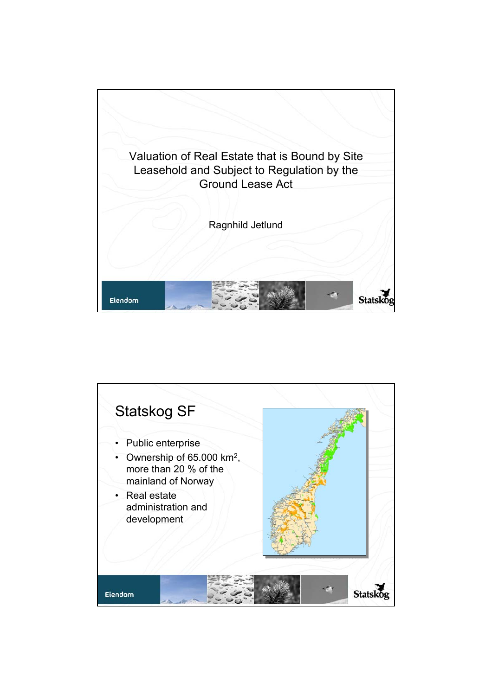

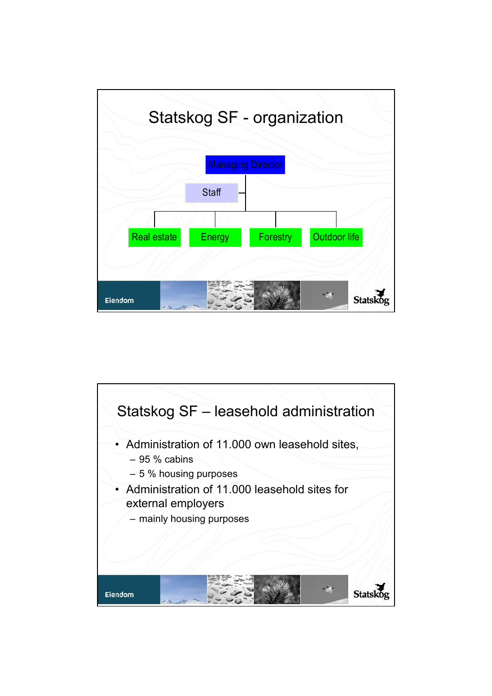

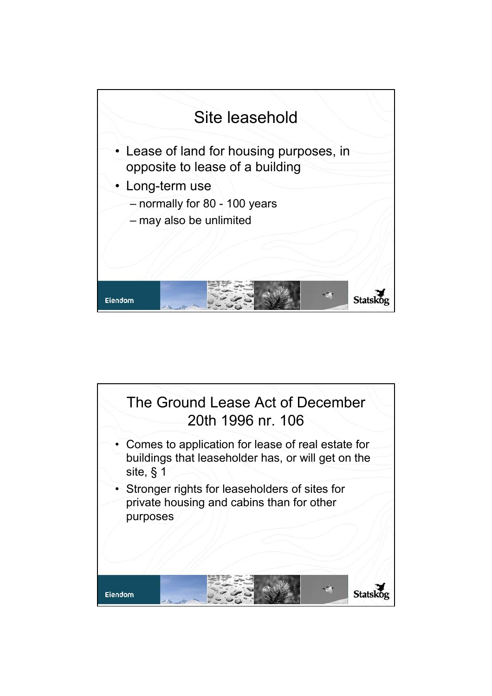

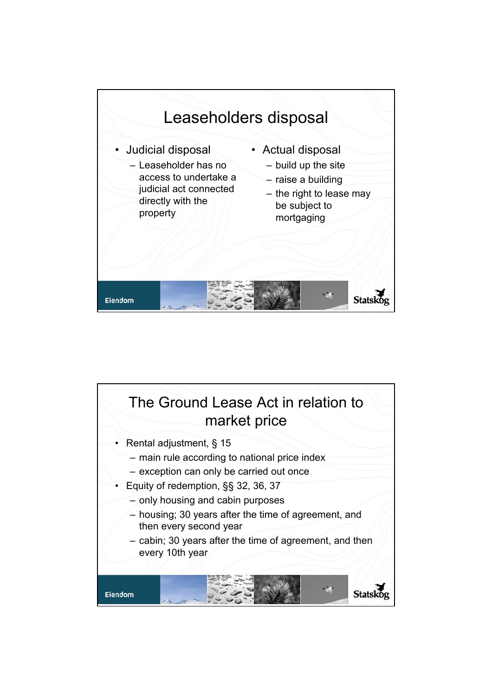

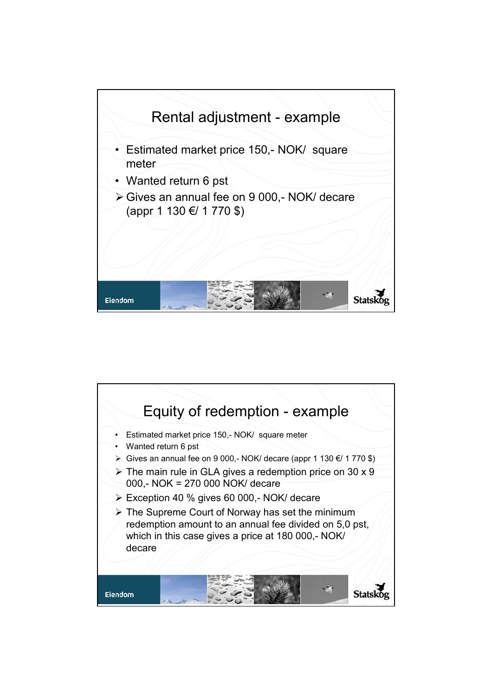

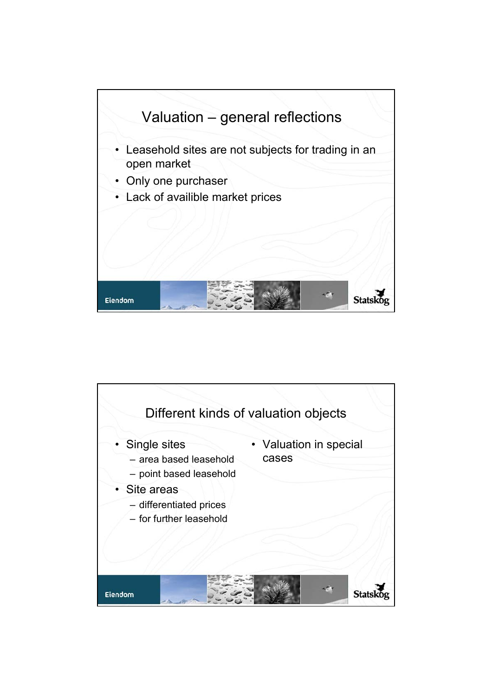

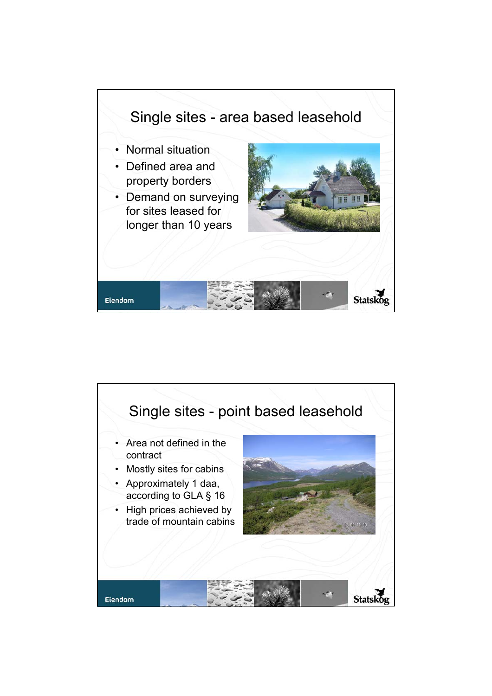

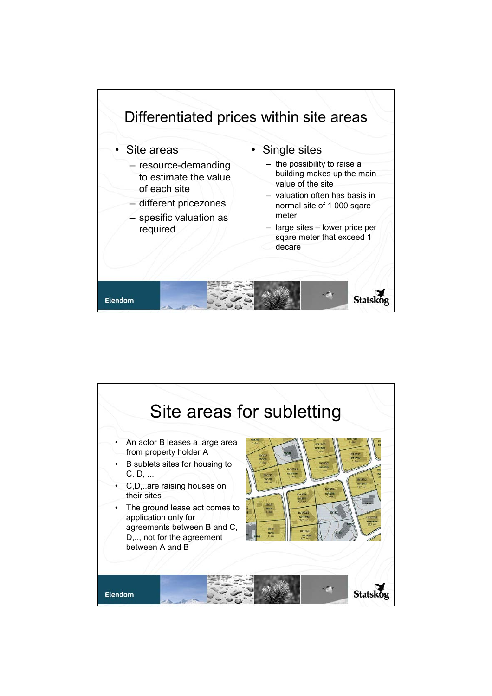

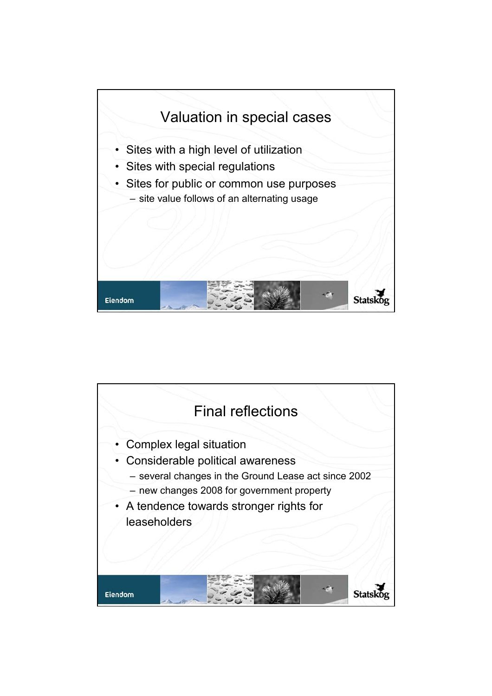